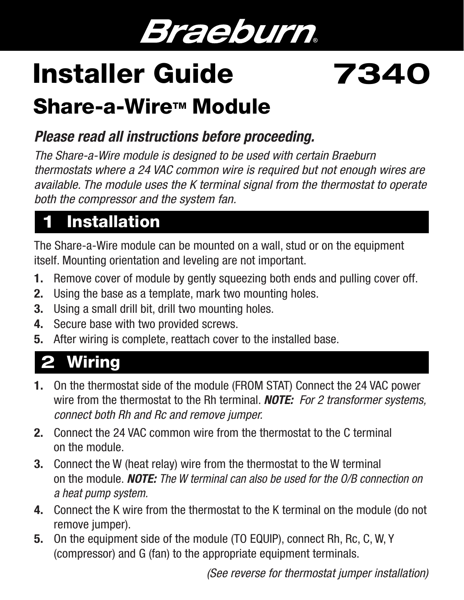## Braeburn.

# Installer Guide 7340

## Share-a-Wire™ Module

#### *Please read all instructions before proceeding.*

*The Share-a-Wire module is designed to be used with certain Braeburn thermostats where a 24 VAC common wire is required but not enough wires are available. The module uses the K terminal signal from the thermostat to operate both the compressor and the system fan.*

### **Installation**

The Share-a-Wire module can be mounted on a wall, stud or on the equipment itself. Mounting orientation and leveling are not important.

- 1. Remove cover of module by gently squeezing both ends and pulling cover off.
- 2. Using the base as a template, mark two mounting holes.
- 3. Using a small drill bit, drill two mounting holes.
- 4. Secure base with two provided screws.
- 5. After wiring is complete, reattach cover to the installed base.

## 2 Wiring

- 1. On the thermostat side of the module (FROM STAT) Connect the 24 VAC power wire from the thermostat to the Rh terminal. *NOTE: For 2 transformer systems, connect both Rh and Rc and remove jumper.*
- 2. Connect the 24 VAC common wire from the thermostat to the C terminal on the module.
- 3. Connect the W (heat relay) wire from the thermostat to the W terminal on the module. *NOTE: The W terminal can also be used for the O/B connection on a heat pump system.*
- 4. Connect the K wire from the thermostat to the K terminal on the module (do not remove jumper).
- 5. On the equipment side of the module (TO EQUIP), connect Rh, Rc, C, W, Y (compressor) and G (fan) to the appropriate equipment terminals.

 *(See reverse for thermostat jumper installation)*